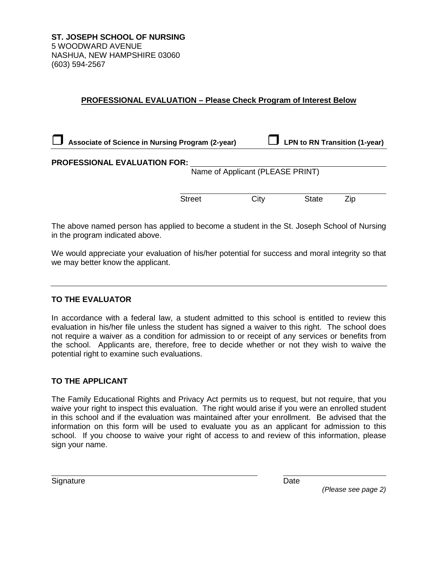**ST. JOSEPH SCHOOL OF NURSING** 5 WOODWARD AVENUE NASHUA, NEW HAMPSHIRE 03060 (603) 594-2567

## **PROFESSIONAL EVALUATION – Please Check Program of Interest Below**

| Associate of Science in Nursing Program (2-year) |                                  | <b>LPN to RN Transition (1-year)</b> |     |  |
|--------------------------------------------------|----------------------------------|--------------------------------------|-----|--|
| <b>PROFESSIONAL EVALUATION FOR:</b>              |                                  |                                      |     |  |
|                                                  | Name of Applicant (PLEASE PRINT) |                                      |     |  |
| <b>Street</b>                                    | City                             | <b>State</b>                         | Zip |  |
|                                                  |                                  |                                      |     |  |

The above named person has applied to become a student in the St. Joseph School of Nursing in the program indicated above.

We would appreciate your evaluation of his/her potential for success and moral integrity so that we may better know the applicant.

## **TO THE EVALUATOR**

In accordance with a federal law, a student admitted to this school is entitled to review this evaluation in his/her file unless the student has signed a waiver to this right. The school does not require a waiver as a condition for admission to or receipt of any services or benefits from the school. Applicants are, therefore, free to decide whether or not they wish to waive the potential right to examine such evaluations.

## **TO THE APPLICANT**

The Family Educational Rights and Privacy Act permits us to request, but not require, that you waive your right to inspect this evaluation. The right would arise if you were an enrolled student in this school and if the evaluation was maintained after your enrollment. Be advised that the information on this form will be used to evaluate you as an applicant for admission to this school. If you choose to waive your right of access to and review of this information, please sign your name.

Signature Date

*(Please see page 2)*